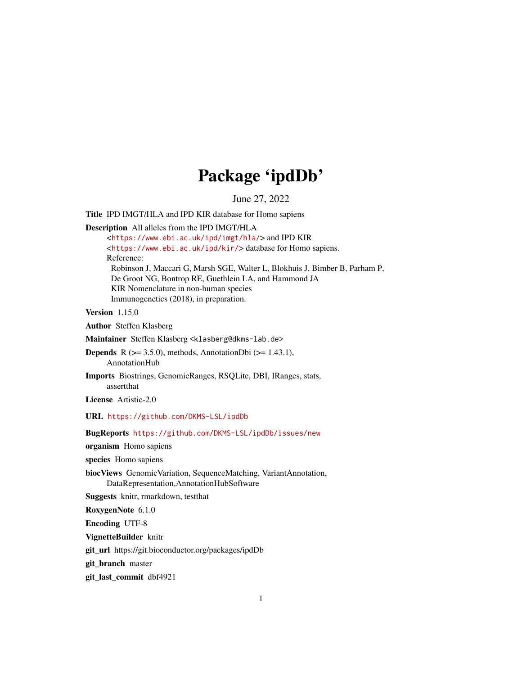# Package 'ipdDb'

June 27, 2022

<span id="page-0-0"></span>Title IPD IMGT/HLA and IPD KIR database for Homo sapiens

Description All alleles from the IPD IMGT/HLA

<<https://www.ebi.ac.uk/ipd/imgt/hla/>> and IPD KIR <<https://www.ebi.ac.uk/ipd/kir/>> database for Homo sapiens. Reference: Robinson J, Maccari G, Marsh SGE, Walter L, Blokhuis J, Bimber B, Parham P, De Groot NG, Bontrop RE, Guethlein LA, and Hammond JA KIR Nomenclature in non-human species Immunogenetics (2018), in preparation.

Version 1.15.0

Author Steffen Klasberg

Maintainer Steffen Klasberg <klasberg@dkms-lab.de>

- **Depends** R ( $>= 3.5.0$ ), methods, AnnotationDbi ( $>= 1.43.1$ ), AnnotationHub
- Imports Biostrings, GenomicRanges, RSQLite, DBI, IRanges, stats, assertthat

License Artistic-2.0

URL <https://github.com/DKMS-LSL/ipdDb>

BugReports <https://github.com/DKMS-LSL/ipdDb/issues/new>

organism Homo sapiens

species Homo sapiens

biocViews GenomicVariation, SequenceMatching, VariantAnnotation, DataRepresentation,AnnotationHubSoftware

Suggests knitr, rmarkdown, testthat

RoxygenNote 6.1.0

Encoding UTF-8

VignetteBuilder knitr

git\_url https://git.bioconductor.org/packages/ipdDb

git\_branch master

git\_last\_commit dbf4921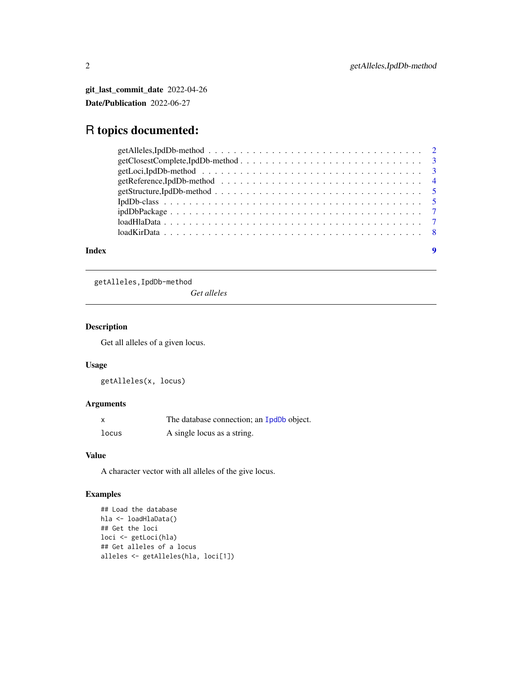<span id="page-1-0"></span>git\_last\_commit\_date 2022-04-26 Date/Publication 2022-06-27

## R topics documented:

|       | $getClosestComplete, IpdDb-method \dots \dots \dots \dots \dots \dots \dots \dots \dots \dots \dots \dots \dots$          |  |
|-------|---------------------------------------------------------------------------------------------------------------------------|--|
|       |                                                                                                                           |  |
|       |                                                                                                                           |  |
|       | getStructure, IpdDb-method $\ldots \ldots \ldots \ldots \ldots \ldots \ldots \ldots \ldots \ldots \ldots \ldots \ldots 5$ |  |
|       |                                                                                                                           |  |
|       |                                                                                                                           |  |
|       |                                                                                                                           |  |
|       |                                                                                                                           |  |
|       |                                                                                                                           |  |
| Index |                                                                                                                           |  |

getAlleles,IpdDb-method

*Get alleles*

#### <span id="page-1-1"></span>Description

Get all alleles of a given locus.

### Usage

getAlleles(x, locus)

#### Arguments

| $\boldsymbol{\mathsf{x}}$ | The database connection; an IpdDb object. |
|---------------------------|-------------------------------------------|
| locus                     | A single locus as a string.               |

#### Value

A character vector with all alleles of the give locus.

### Examples

```
## Load the database
hla <- loadHlaData()
## Get the loci
loci <- getLoci(hla)
## Get alleles of a locus
alleles <- getAlleles(hla, loci[1])
```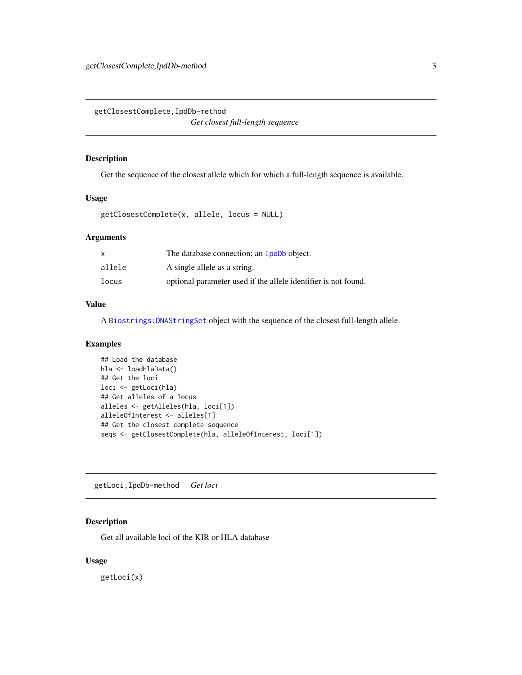<span id="page-2-0"></span>getClosestComplete,IpdDb-method *Get closest full-length sequence*

#### <span id="page-2-2"></span>Description

Get the sequence of the closest allele which for which a full-length sequence is available.

#### Usage

getClosestComplete(x, allele, locus = NULL)

#### Arguments

|        | The database connection; an IpdDb object.                      |
|--------|----------------------------------------------------------------|
| allele | A single allele as a string.                                   |
| locus  | optional parameter used if the allele identifier is not found. |

#### Value

A [Biostrings:DNAStringSet](#page-0-0) object with the sequence of the closest full-length allele.

#### Examples

```
## Load the database
hla <- loadHlaData()
## Get the loci
loci <- getLoci(hla)
## Get alleles of a locus
alleles <- getAlleles(hla, loci[1])
alleleOfInterest <- alleles[1]
## Get the closest complete sequence
seqs <- getClosestComplete(hla, alleleOfInterest, loci[1])
```
getLoci,IpdDb-method *Get loci*

#### <span id="page-2-1"></span>Description

Get all available loci of the KIR or HLA database

#### Usage

getLoci(x)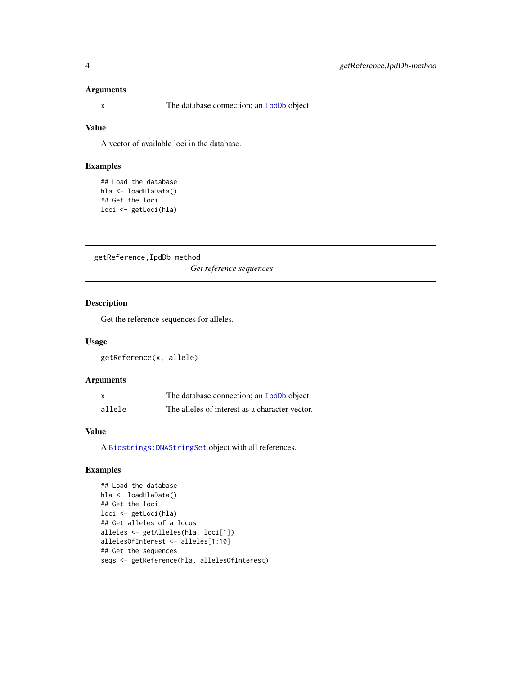#### <span id="page-3-0"></span>Arguments

x The database connection; an [IpdDb](#page-4-1) object.

#### Value

A vector of available loci in the database.

#### Examples

```
## Load the database
hla <- loadHlaData()
## Get the loci
loci <- getLoci(hla)
```
getReference,IpdDb-method

*Get reference sequences*

#### <span id="page-3-1"></span>Description

Get the reference sequences for alleles.

#### Usage

getReference(x, allele)

#### Arguments

| X      | The database connection; an IpdDb object.      |
|--------|------------------------------------------------|
| allele | The alleles of interest as a character vector. |

#### Value

A [Biostrings:DNAStringSet](#page-0-0) object with all references.

#### Examples

```
## Load the database
hla <- loadHlaData()
## Get the loci
loci <- getLoci(hla)
## Get alleles of a locus
alleles <- getAlleles(hla, loci[1])
allelesOfInterest <- alleles[1:10]
## Get the sequences
seqs <- getReference(hla, allelesOfInterest)
```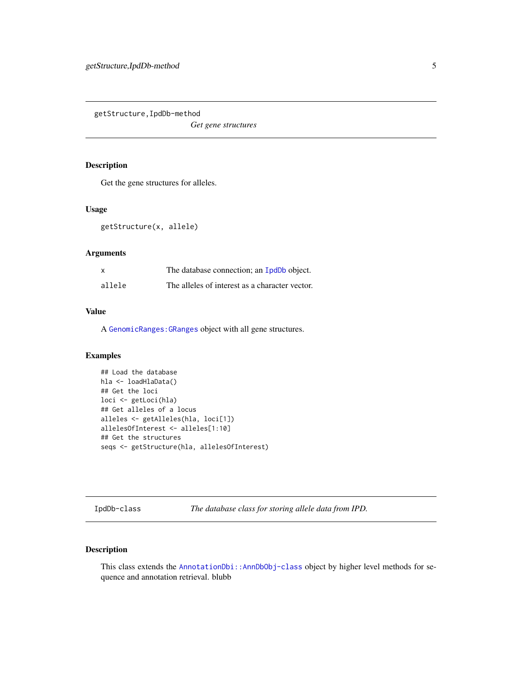<span id="page-4-0"></span>getStructure,IpdDb-method

*Get gene structures*

#### <span id="page-4-2"></span>Description

Get the gene structures for alleles.

#### Usage

getStructure(x, allele)

#### Arguments

|        | The database connection; an IpdDb object.      |
|--------|------------------------------------------------|
| allele | The alleles of interest as a character vector. |

#### Value

A [GenomicRanges:GRanges](#page-0-0) object with all gene structures.

#### Examples

```
## Load the database
hla <- loadHlaData()
## Get the loci
loci <- getLoci(hla)
## Get alleles of a locus
alleles <- getAlleles(hla, loci[1])
allelesOfInterest <- alleles[1:10]
## Get the structures
seqs <- getStructure(hla, allelesOfInterest)
```
IpdDb-class *The database class for storing allele data from IPD.*

#### <span id="page-4-1"></span>Description

This class extends the [AnnotationDbi::AnnDbObj-class](#page-0-0) object by higher level methods for sequence and annotation retrieval. blubb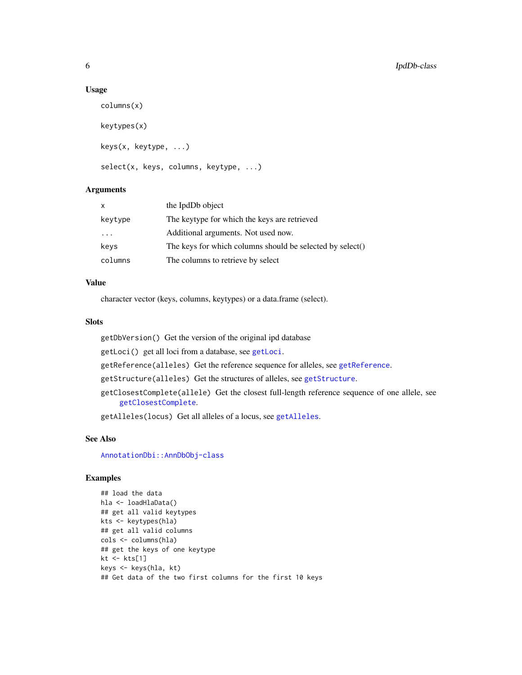#### Usage

```
columns(x)
keytypes(x)
keys(x, keytype, ...)
select(x, keys, columns, keytype, ...)
```
#### Arguments

| $\mathsf{x}$            | the IpdDb object                                          |
|-------------------------|-----------------------------------------------------------|
| keytype                 | The keytype for which the keys are retrieved              |
| $\cdot$ $\cdot$ $\cdot$ | Additional arguments. Not used now.                       |
| keys                    | The keys for which columns should be selected by select() |
| columns                 | The columns to retrieve by select                         |

#### Value

character vector (keys, columns, keytypes) or a data.frame (select).

#### Slots

getDbVersion() Get the version of the original ipd database

getLoci() get all loci from a database, see [getLoci](#page-2-1).

getReference(alleles) Get the reference sequence for alleles, see [getReference](#page-3-1).

getStructure(alleles) Get the structures of alleles, see [getStructure](#page-4-2).

getClosestComplete(allele) Get the closest full-length reference sequence of one allele, see [getClosestComplete](#page-2-2).

getAlleles(locus) Get all alleles of a locus, see [getAlleles](#page-1-1).

#### See Also

[AnnotationDbi::AnnDbObj-class](#page-0-0)

#### Examples

```
## load the data
hla <- loadHlaData()
## get all valid keytypes
kts <- keytypes(hla)
## get all valid columns
cols <- columns(hla)
## get the keys of one keytype
kt <- kts[1]
keys <- keys(hla, kt)
## Get data of the two first columns for the first 10 keys
```
<span id="page-5-0"></span>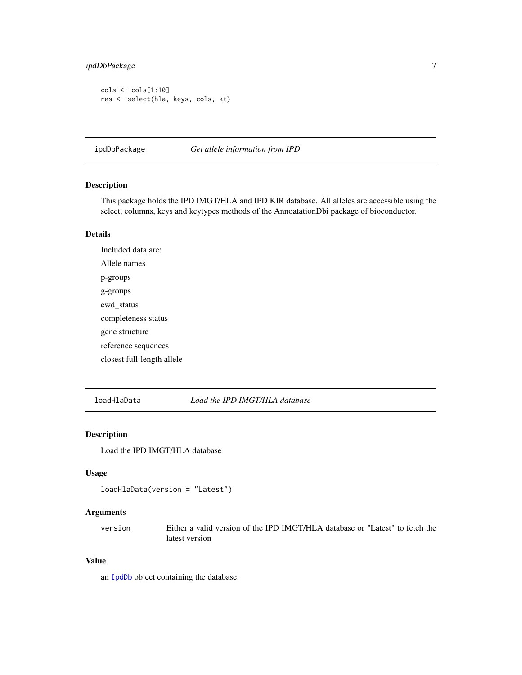#### <span id="page-6-0"></span>ipdDbPackage 7

```
cols <- cols[1:10]
res <- select(hla, keys, cols, kt)
```
ipdDbPackage *Get allele information from IPD*

#### Description

This package holds the IPD IMGT/HLA and IPD KIR database. All alleles are accessible using the select, columns, keys and keytypes methods of the AnnoatationDbi package of bioconductor.

#### Details

Included data are: Allele names p-groups g-groups cwd\_status completeness status gene structure reference sequences closest full-length allele

loadHlaData *Load the IPD IMGT/HLA database*

#### Description

Load the IPD IMGT/HLA database

#### Usage

```
loadHlaData(version = "Latest")
```
#### Arguments

version Either a valid version of the IPD IMGT/HLA database or "Latest" to fetch the latest version

#### Value

an [IpdDb](#page-4-1) object containing the database.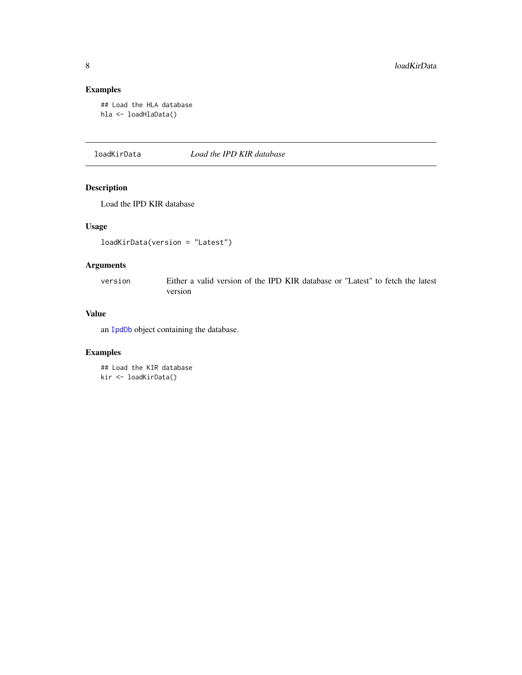#### <span id="page-7-0"></span>Examples

```
## Load the HLA database
hla <- loadHlaData()
```
loadKirData *Load the IPD KIR database*

### Description

Load the IPD KIR database

#### Usage

```
loadKirData(version = "Latest")
```
#### Arguments

version Either a valid version of the IPD KIR database or "Latest" to fetch the latest version

#### Value

an [IpdDb](#page-4-1) object containing the database.

#### Examples

## Load the KIR database kir <- loadKirData()